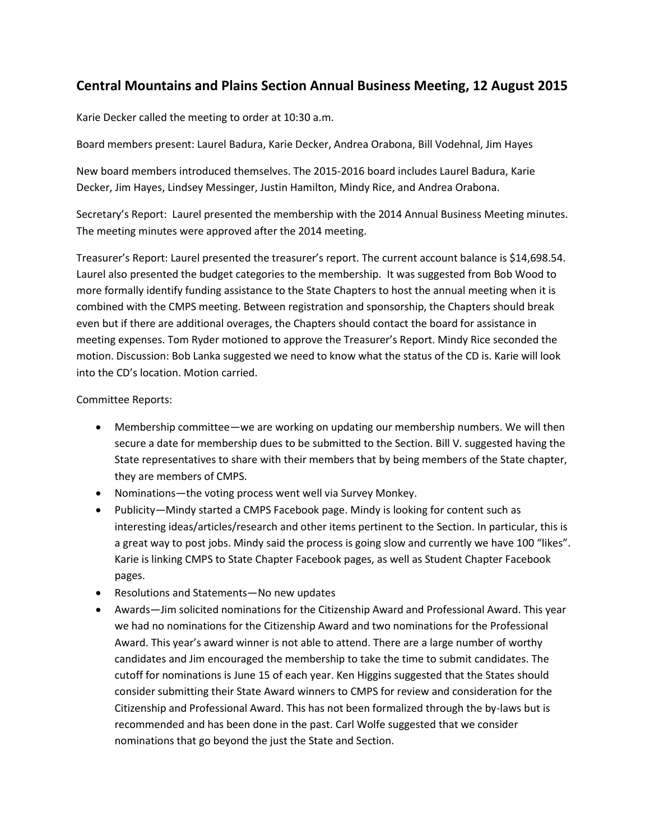## **Central Mountains and Plains Section Annual Business Meeting, 12 August 2015**

Karie Decker called the meeting to order at 10:30 a.m.

Board members present: Laurel Badura, Karie Decker, Andrea Orabona, Bill Vodehnal, Jim Hayes

New board members introduced themselves. The 2015-2016 board includes Laurel Badura, Karie Decker, Jim Hayes, Lindsey Messinger, Justin Hamilton, Mindy Rice, and Andrea Orabona.

Secretary's Report: Laurel presented the membership with the 2014 Annual Business Meeting minutes. The meeting minutes were approved after the 2014 meeting.

Treasurer's Report: Laurel presented the treasurer's report. The current account balance is \$14,698.54. Laurel also presented the budget categories to the membership. It was suggested from Bob Wood to more formally identify funding assistance to the State Chapters to host the annual meeting when it is combined with the CMPS meeting. Between registration and sponsorship, the Chapters should break even but if there are additional overages, the Chapters should contact the board for assistance in meeting expenses. Tom Ryder motioned to approve the Treasurer's Report. Mindy Rice seconded the motion. Discussion: Bob Lanka suggested we need to know what the status of the CD is. Karie will look into the CD's location. Motion carried.

## Committee Reports:

- Membership committee—we are working on updating our membership numbers. We will then secure a date for membership dues to be submitted to the Section. Bill V. suggested having the State representatives to share with their members that by being members of the State chapter, they are members of CMPS.
- Nominations—the voting process went well via Survey Monkey.
- Publicity—Mindy started a CMPS Facebook page. Mindy is looking for content such as interesting ideas/articles/research and other items pertinent to the Section. In particular, this is a great way to post jobs. Mindy said the process is going slow and currently we have 100 "likes". Karie is linking CMPS to State Chapter Facebook pages, as well as Student Chapter Facebook pages.
- Resolutions and Statements—No new updates
- Awards—Jim solicited nominations for the Citizenship Award and Professional Award. This year we had no nominations for the Citizenship Award and two nominations for the Professional Award. This year's award winner is not able to attend. There are a large number of worthy candidates and Jim encouraged the membership to take the time to submit candidates. The cutoff for nominations is June 15 of each year. Ken Higgins suggested that the States should consider submitting their State Award winners to CMPS for review and consideration for the Citizenship and Professional Award. This has not been formalized through the by-laws but is recommended and has been done in the past. Carl Wolfe suggested that we consider nominations that go beyond the just the State and Section.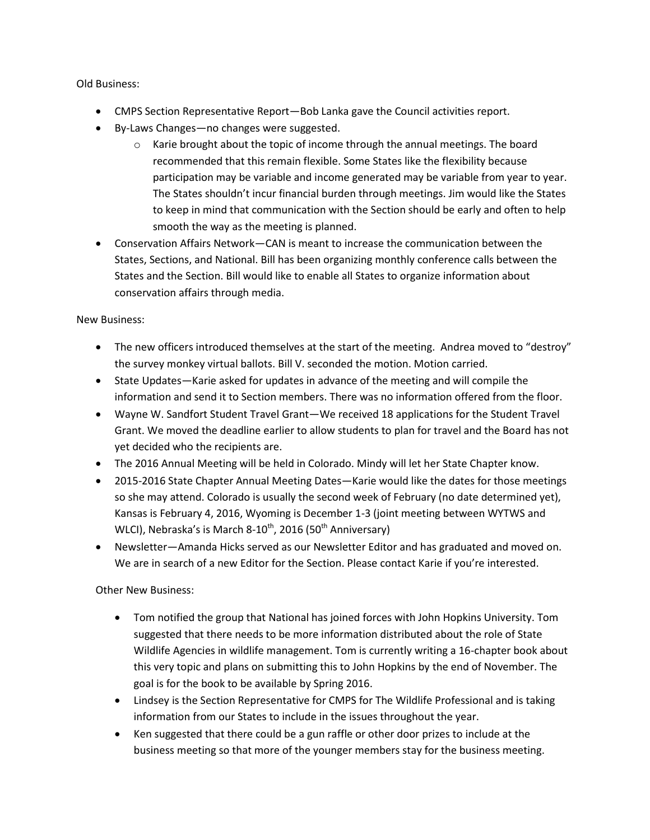Old Business:

- CMPS Section Representative Report—Bob Lanka gave the Council activities report.
- By-Laws Changes—no changes were suggested.
	- $\circ$  Karie brought about the topic of income through the annual meetings. The board recommended that this remain flexible. Some States like the flexibility because participation may be variable and income generated may be variable from year to year. The States shouldn't incur financial burden through meetings. Jim would like the States to keep in mind that communication with the Section should be early and often to help smooth the way as the meeting is planned.
- Conservation Affairs Network—CAN is meant to increase the communication between the States, Sections, and National. Bill has been organizing monthly conference calls between the States and the Section. Bill would like to enable all States to organize information about conservation affairs through media.

New Business:

- The new officers introduced themselves at the start of the meeting. Andrea moved to "destroy" the survey monkey virtual ballots. Bill V. seconded the motion. Motion carried.
- State Updates—Karie asked for updates in advance of the meeting and will compile the information and send it to Section members. There was no information offered from the floor.
- Wayne W. Sandfort Student Travel Grant—We received 18 applications for the Student Travel Grant. We moved the deadline earlier to allow students to plan for travel and the Board has not yet decided who the recipients are.
- The 2016 Annual Meeting will be held in Colorado. Mindy will let her State Chapter know.
- 2015-2016 State Chapter Annual Meeting Dates—Karie would like the dates for those meetings so she may attend. Colorado is usually the second week of February (no date determined yet), Kansas is February 4, 2016, Wyoming is December 1-3 (joint meeting between WYTWS and WLCI), Nebraska's is March 8-10<sup>th</sup>, 2016 (50<sup>th</sup> Anniversary)
- Newsletter—Amanda Hicks served as our Newsletter Editor and has graduated and moved on. We are in search of a new Editor for the Section. Please contact Karie if you're interested.

Other New Business:

- Tom notified the group that National has joined forces with John Hopkins University. Tom suggested that there needs to be more information distributed about the role of State Wildlife Agencies in wildlife management. Tom is currently writing a 16-chapter book about this very topic and plans on submitting this to John Hopkins by the end of November. The goal is for the book to be available by Spring 2016.
- Lindsey is the Section Representative for CMPS for The Wildlife Professional and is taking information from our States to include in the issues throughout the year.
- Ken suggested that there could be a gun raffle or other door prizes to include at the business meeting so that more of the younger members stay for the business meeting.